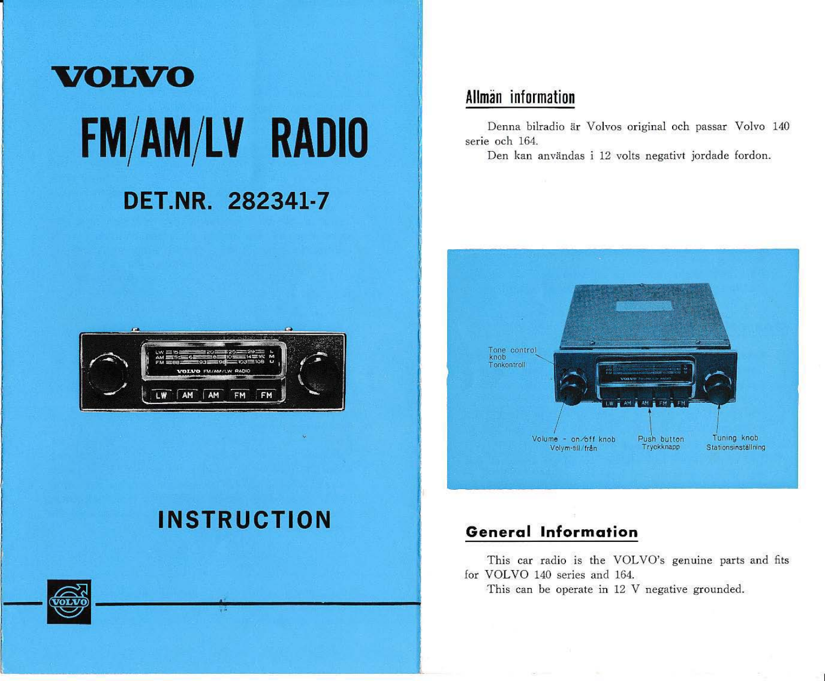# **VOLVO FM/AM/LV RADIO** DET.NR. 282341-7

## Allmän information

Denna bilradio är Volvos original och passar Volvo 140 serie och 164.

Den kan användas i 12 volts negativt jordade fordon.



# **INSTRUCTION**



## **General Information**

This car radio is the VOLVO's genuine parts and fits for VOLVO 140 series and 164.

This can be operate in 12 V negative grounded.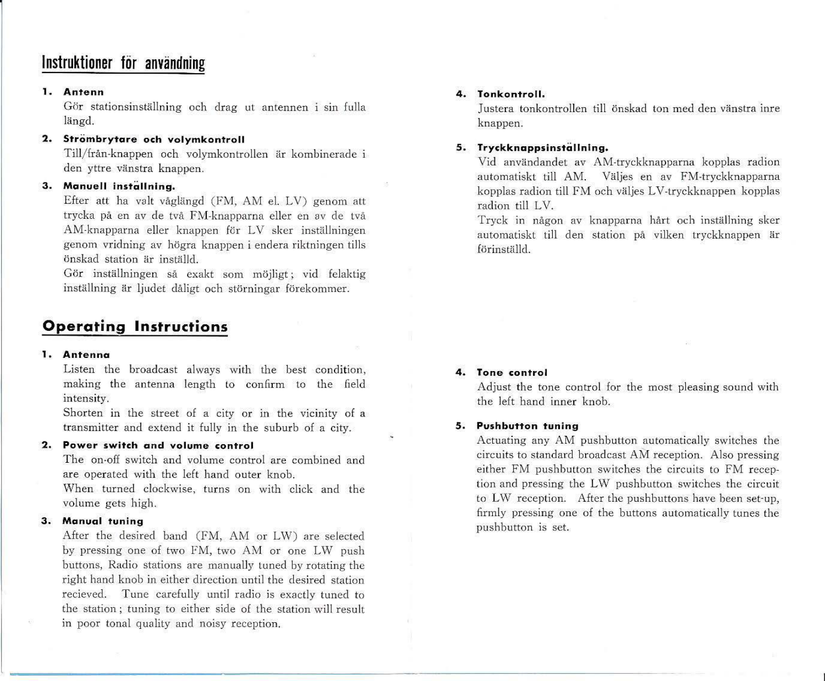## Instruktioner för användning

#### **1. Antenn**

Gör stationsinställning och drag ut antennen i sin fulla längd.

#### **2.** Strömbrytare och volymkontroll

Till/från-knappen och volymkontrollen är kombinerade i den yttre vänstra knappen.

#### **3. Manuell installning.**

Efter att ha valt våglängd (FM, AM el. LV) genom att trycka på en av de två FM-knapparna eller en av de två AM-knapparna eller knappen för LV sker inställningen genom vridning av högra knappen i endera riktningen tills önskad station är inställd.

Gör inställningen så exakt som möjligt; vid felaktig inställning är ljudet dåligt och störningar förekommer.

## **Operating Instructions**

#### **1. Antenna**

Listen the broadcast always with the best condition, making the antenna length to confirm to the field intensity.

Shorten in the street of a city or in the vicinity of a transmitter and extend it fully in the suburb of a city.

#### 2. **Power switch gnd volume controi**

The on-off switch and volume control are combined and are operated with the left hand outer knob.

When turned clockwise, turns on with click and the volume gets high.

#### **3. Manual tuning**

After the desired band (FM, AM or LW) are selected by pressing one of two FM, two AM or one LW push buttons, Radio stations are manually tuned by rotating the right hand knob in either direction until the desired station recieved. Tune carefully until radio is exactly tuned to the station; tuning to either side of the station will result in poor tonal quality and noisy reception.

#### **4. Tonkontroll.**

Justera tonkontrollen till önskad ton med den vänstra inre knappen.

#### **5 . Tryckknappsinställn Ing.**

Vid användandet av AM-tryckknapparna kopplas radion automatiskt till AM. Väljes en av FM.tryckknapparna kopplas radion till FM och väljes LV-tryckknappen kopplas radion till LV.

Tryck in någon av knapparna hårt och inställning sker automatiskt till den station på vilken tryckknappen är förinställd.

#### **4. To ne controi**

Adjust the tone control for the most pleasing sound with the left hand inner knob.

#### **5. Pushbutton tuning**

Actuating any AM pushbutton automatically switches the cireuits to standard broadeast AM reception. Also pressing either FM pushbutton switches the circuits to FM reception and pressing the L\V pushbut!on switches the circuit to LW reception. After the pushbuttons have been set-up, firmly pressing one of the buttons automatically tunes the pushbutton is set.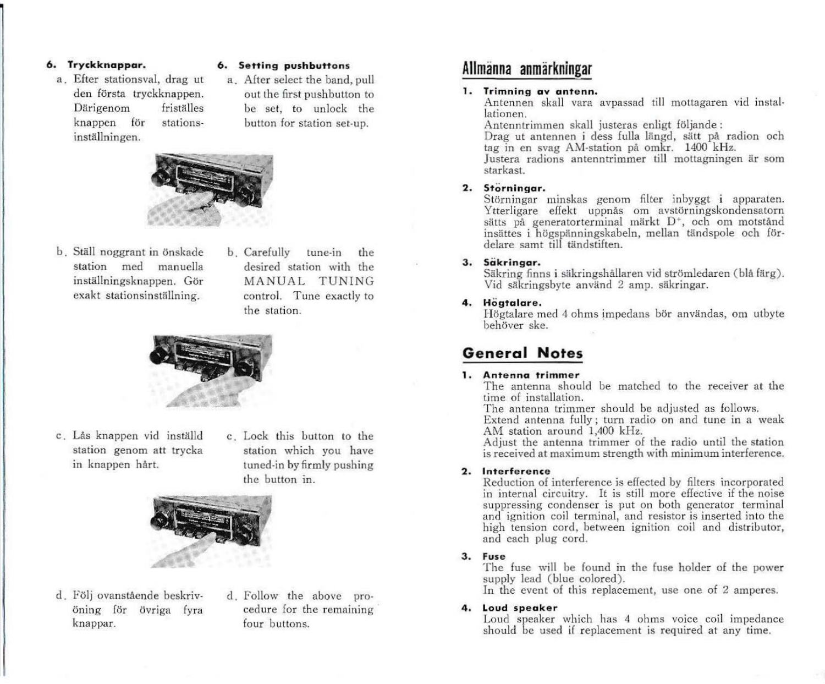#### 6. Tryckknappar.

a. Efter stationsval, drag ut den första tryckknappen. Därigenom friställes knappen för stations· inställningen.

#### 6. Setting pushbuttons

a. After select the band, pull out the first pu shbutton to be set, to unlock the button for station set-up.



- b. Ställ noggrant in önskade station med manuella inställningsknappen. Gör exakt stationsinställning.
- b. Carefully tune-in the desired station with the MANUAL TUNING controI. Tune exactly to the station.



- c. Lås knappen vid inställd station genom att trycka in knappen hårt.
- c. Lock this button to the station which you have tuncd·in hyfirmly pushing the button in.



- d. Följ ovanstående beskriv· öning för övriga fyra knappar.
- d. Follow the above procedure for the remaining four buttons.

## Allmänna anmärkningar

#### 1. Trimning av antenn.

Antennen skall vara avpassad till mottagaren vid installationen.<br>Antenntrimmen skall justeras enligt följande:

Drag ut antennen i dess fulla längd, sätt på radion och tag in en svag AM-station på omkr. 1400 kHz.

Justera radions antenntrimmer till mottagningen är som starkast.

#### 2. Störningar.

Störningar minskas genom filter inbyggt i apparaten. Ytterligare effekt uppnås om avstörningskondensatorn sätts på generatorterminal märkt D<sup>+</sup>, och om motstånd insättes i högspänningskabeln, mellan tändspole och fördelare samt till tändstiften.

#### 3. Säkringar.

Säkring finns i säkringshållaren vid strömledaren (blå färg). Vid säkringsbyte använd 2 amp. säkringar.

#### 4. Högtalare.

Högtalare med 4 ohms impedans bör användas, om utbyte behövcr ske.

## **General Notes**

#### 1. Antenna trimmer

The antenna should be matched to the receiver at the time of installation.

The antenna trimmer should be adjusted as follows. Extend antenna fully; turn radio on and tune in a weak

AM station around 1,400 kHz.

Adjust the antenna trimmer of the radio until the station is received at maximum strength with minimum interference.

#### 2. Interference

Reduction of interference is effected by filters incorporated in internal circuitry. It is still more effective if the noise suppressing condenser is put on both generator terminal and ignition coil terminal, and resistor is inserted into the high tension cord, between ignition coil and distributor, and each plug cord.

#### 3. Fuse

The fuse will be found in the fuse holder of the power supply lead (blue colored). In the event of this replacement, use one of  $2$  amperes.

4. Loud speaker

Loud speaker which has 4 ohms voice coil impedance should be used if replacement is required at any time.